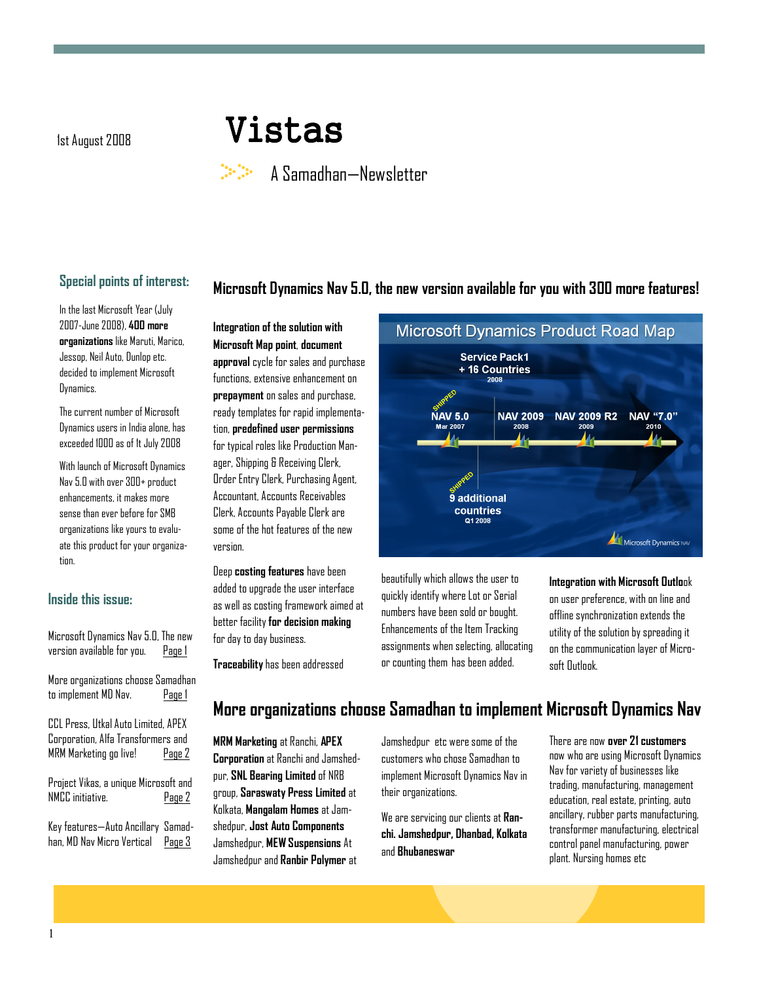# 1st August 2008 **Vistas**

# A Samadhan—Newsletter

### Special points of interest:

In the last Microsoft Year (July 2007-June 2008), 400 more organizations like Maruti, Marico, Jessop, Neil Auto, Dunlop etc. decided to implement Microsoft Dynamics.

The current number of Microsoft Dynamics users in India alone, has exceeded 1000 as of 1t July 2008

With launch of Microsoft Dynamics Nav 5.0 with over 300+ product enhancements, it makes more sense than ever before for SMB organizations like yours to evaluate this product for your organization.

#### Inside this issue:

| Microsoft Dynamics Nav 5.0, The new<br>version available for you. Page 1                                   |        |
|------------------------------------------------------------------------------------------------------------|--------|
| More organizations choose Samadhan<br>to implement MD Nav. Page 1                                          |        |
| CCL Press, Utkal Auto Limited, APEX<br>Corporation, Alfa Transformers and<br>MRM Marketing go live! Page 2 |        |
| Project Vikas, a unique Microsoft and<br>NMCC initiative.                                                  | Page 2 |
| Key features—Auto Ancillary Samad-<br>han, MD Nav Micro Vertical Page 3                                    |        |

#### Integration of the solution with Microsoft Map point, document approval cycle for sales and purchase functions, extensive enhancement on prepayment on sales and purchase, ready templates for rapid implementation, predefined user permissions for typical roles like Production Manager, Shipping & Receiving Clerk, Order Entry Clerk, Purchasing Agent, Accountant, Accounts Receivables Clerk, Accounts Payable Clerk are some of the hot features of the new version.

Deep costing features have been added to upgrade the user interface as well as costing framework aimed at better facility for decision making for day to day business.

Traceability has been addressed



beautifully which allows the user to quickly identify where Lot or Serial numbers have been sold or bought. Enhancements of the Item Tracking assignments when selecting, allocating or counting them has been added.

Microsoft Dynamics Nav 5.0, the new version available for you with 300 more features!

Integration with Microsoft Outlook on user preference, with on line and offline synchronization extends the utility of the solution by spreading it on the communication layer of Microsoft Outlook.

# More organizations choose Samadhan to implement Microsoft Dynamics Nav

MRM Marketing at Ranchi, APEX Corporation at Ranchi and Jamshedpur, SNL Bearing Limited of NRB group, Saraswaty Press Limited at Kolkata, Mangalam Homes at Jamshedpur, Jost Auto Components Jamshedpur, MEW Suspensions At Jamshedpur and Ranbir Polymer at

Jamshedpur etc were some of the customers who chose Samadhan to implement Microsoft Dynamics Nav in their organizations.

We are servicing our clients at Ranchi. Jamshedpur, Dhanbad, Kolkata and Bhubaneswar

There are now over 21 customers now who are using Microsoft Dynamics Nav for variety of businesses like trading, manufacturing, management education, real estate, printing, auto ancillary, rubber parts manufacturing, transformer manufacturing, electrical control panel manufacturing, power plant. Nursing homes etc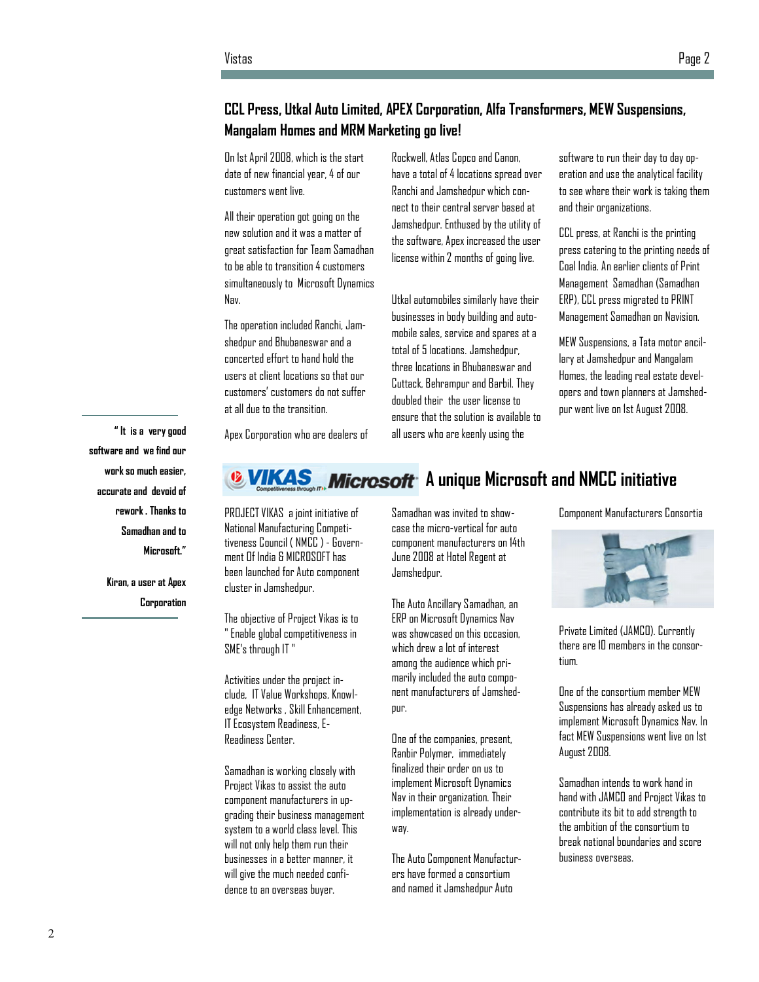## CCL Press, Utkal Auto Limited, APEX Corporation, Alfa Transformers, MEW Suspensions, Mangalam Homes and MRM Marketing go live!

On 1st April 2008, which is the start date of new financial year, 4 of our customers went live.

All their operation got going on the new solution and it was a matter of great satisfaction for Team Samadhan to be able to transition 4 customers simultaneously to Microsoft Dynamics Nav.

The operation included Ranchi, Jamshedpur and Bhubaneswar and a concerted effort to hand hold the users at client locations so that our customers' customers do not suffer at all due to the transition.

Rockwell, Atlas Copco and Canon, have a total of 4 locations spread over Ranchi and Jamshedpur which connect to their central server based at Jamshedpur. Enthused by the utility of the software, Apex increased the user license within 2 months of going live.

Utkal automobiles similarly have their businesses in body building and automobile sales, service and spares at a total of 5 locations. Jamshedpur, three locations in Bhubaneswar and Cuttack, Behrampur and Barbil. They doubled their the user license to ensure that the solution is available to all users who are keenly using the

software to run their day to day operation and use the analytical facility to see where their work is taking them and their organizations.

CCL press, at Ranchi is the printing press catering to the printing needs of Coal India. An earlier clients of Print Management Samadhan (Samadhan ERP), CCL press migrated to PRINT Management Samadhan on Navision.

MEW Suspensions, a Tata motor ancillary at Jamshedpur and Mangalam Homes, the leading real estate developers and town planners at Jamshedpur went live on 1st August 2008.

" It is a very good software and we find our work so much easier, accurate and devoid of rework . Thanks to Samadhan and to Microsoft."

> Kiran, a user at Apex **Corporation**

Apex Corporation who are dealers of

# **B VIKAS** Microsoft A unique Microsoft and NMCC initiative

PROJECT VIKAS a joint initiative of National Manufacturing Competitiveness Council ( NMCC ) - Government Of India & MICROSOFT has been launched for Auto component cluster in Jamshedpur.

The objective of Project Vikas is to " Enable global competitiveness in SME's through IT "

Activities under the project include, IT Value Workshops, Knowledge Networks , Skill Enhancement, IT Ecosystem Readiness, E-Readiness Center.

Samadhan is working closely with Project Vikas to assist the auto component manufacturers in upgrading their business management system to a world class level. This will not only help them run their businesses in a better manner, it will give the much needed confidence to an overseas buyer.

Samadhan was invited to showcase the micro-vertical for auto component manufacturers on 14th June 2008 at Hotel Regent at Jamshedpur.

The Auto Ancillary Samadhan, an ERP on Microsoft Dynamics Nav was showcased on this occasion. which drew a lot of interest among the audience which primarily included the auto component manufacturers of Jamshedpur.

One of the companies, present, Ranbir Polymer, immediately finalized their order on us to implement Microsoft Dynamics Nav in their organization. Their implementation is already underway.

The Auto Component Manufacturers have formed a consortium and named it Jamshedpur Auto

Component Manufacturers Consortia



Private Limited (JAMCO). Currently there are 10 members in the consortium.

One of the consortium member MEW Suspensions has already asked us to implement Microsoft Dynamics Nav. In fact MEW Suspensions went live on 1st August 2008.

Samadhan intends to work hand in hand with JAMCO and Project Vikas to contribute its bit to add strength to the ambition of the consortium to break national boundaries and score business overseas.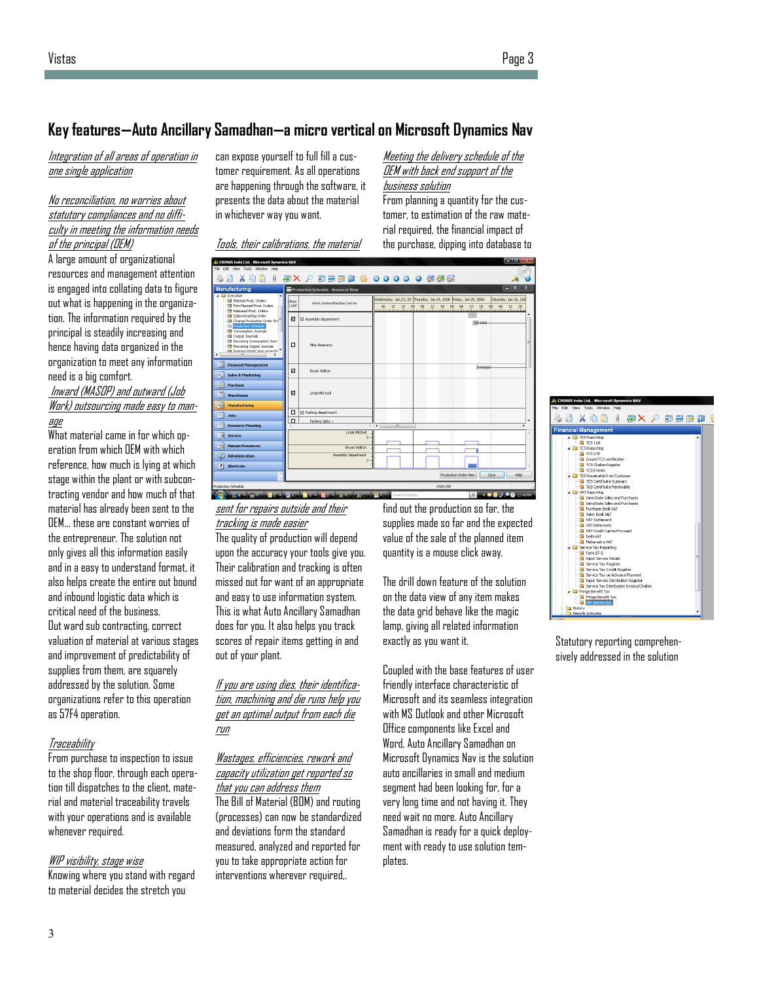3

## Key features—Auto Ancillary Samadhan—a micro vertical on Microsoft Dynamics Nav

Integration of all areas of operation in one single application

#### No reconciliation, no worries about statutory compliances and no difficulty in meeting the information needs of the principal (OEM)

A large amount of organizational resources and management attention is engaged into collating data to figure out what is happening in the organization. The information required by the principal is steadily increasing and hence having data organized in the organization to meet any information need is a big comfort.

#### Inward (MASOP) and outward (Job Work) outsourcing made easy to manage

What material came in for which operation from which OEM with which reference, how much is lying at which stage within the plant or with subcontracting vendor and how much of that material has already been sent to the OEM… these are constant worries of the entrepreneur. The solution not only gives all this information easily and in a easy to understand format, it also helps create the entire out bound and inbound logistic data which is critical need of the business. Out ward sub contracting, correct valuation of material at various stages and improvement of predictability of supplies from them, are squarely addressed by the solution. Some organizations refer to this operation as 57F4 operation.

#### **Traceability**

From purchase to inspection to issue to the shop floor, through each operation till dispatches to the client, material and material traceability travels with your operations and is available whenever required.

#### WIP visibility, stage wise

Knowing where you stand with regard to material decides the stretch you

can expose yourself to full fill a customer requirement. As all operations are happening through the software, it presents the data about the material in whichever way you want.

Meeting the delivery schedule of the OEM with back end support of the business solution From planning a quantity for the cus-

tomer, to estimation of the raw material required, the financial impact of the purchase, dipping into database to

|  | Tools, their calibrations, the material |  |
|--|-----------------------------------------|--|
|  |                                         |  |



sent for repairs outside and their tracking is made easier

The quality of production will depend upon the accuracy your tools give you. Their calibration and tracking is often missed out for want of an appropriate and easy to use information system. This is what Auto Ancillary Samadhan does for you. It also helps you track scores of repair items getting in and out of your plant.

#### If you are using dies, their identification, machining and die runs help you get an optimal output from each die run

#### Wastages, efficiencies, rework and capacity utilization get reported so that you can address them

The Bill of Material (BOM) and routing (processes) can now be standardized and deviations form the standard measured, analyzed and reported for you to take appropriate action for interventions wherever required,.

find out the production so far, the supplies made so far and the expected value of the sale of the planned item quantity is a mouse click away.

The drill down feature of the solution on the data view of any item makes the data grid behave like the magic lamp, giving all related information exactly as you want it.

Coupled with the base features of user friendly interface characteristic of Microsoft and its seamless integration with MS Outlook and other Microsoft Office components like Excel and Word, Auto Ancillary Samadhan on Microsoft Dynamics Nav is the solution auto ancillaries in small and medium segment had been looking for, for a very long time and not having it. They need wait no more. Auto Ancillary Samadhan is ready for a quick deployment with ready to use solution templates.

# **X Q Q J & X A B B B B** g d ncial Managem interesting sentence or  $\alpha$  and story  $\alpha$ TDS 16A<br>TCS Reporting nio ascace sales o<br>Purchase Book VA val Settement<br>VAT Deferment<br>VAT Credit Carried F<br>Delhi VAT<br>Maharastra VAT Input Ser **Pringe Benefit Tax**

Statutory reporting comprehensively addressed in the solution